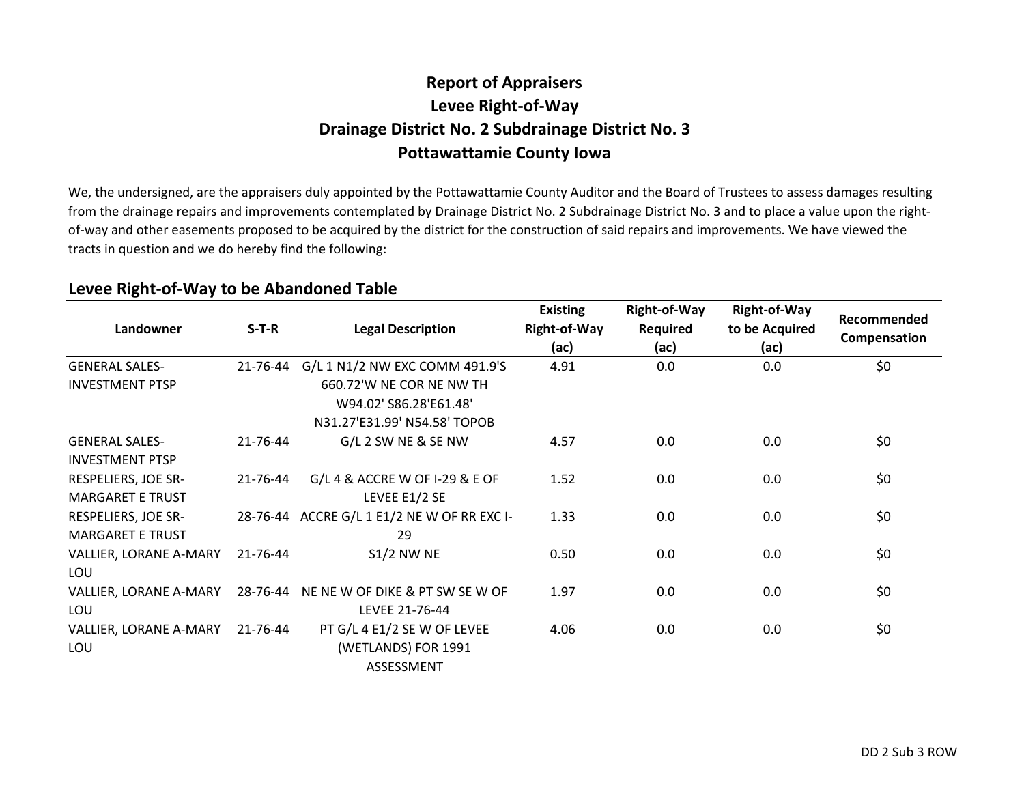#### **Report of AppraisersDrainage District No. 2 Subdrainage District No. 3 Pottawattamie County IowaLevee Right-of-Way**

We, the undersigned, are the appraisers duly appointed by the Pottawattamie County Auditor and the Board of Trustees to assess damages resulting from the drainage repairs and improvements contemplated by Drainage District No. 2 Subdrainage District No. 3 and to place a value upon the rightof-way and other easements proposed to be acquired by the district for the construction of said repairs and improvements. We have viewed the tracts in question and we do hereby find the following:

| Landowner                                             | $S-T-R$  | <b>Legal Description</b>                                                                                             | <b>Existing</b><br><b>Right-of-Way</b><br>(ac) | <b>Right-of-Way</b><br><b>Required</b><br>(ac) | <b>Right-of-Way</b><br>to be Acquired<br>(ac) | Recommended<br>Compensation |
|-------------------------------------------------------|----------|----------------------------------------------------------------------------------------------------------------------|------------------------------------------------|------------------------------------------------|-----------------------------------------------|-----------------------------|
| <b>GENERAL SALES-</b><br><b>INVESTMENT PTSP</b>       | 21-76-44 | G/L 1 N1/2 NW EXC COMM 491.9'S<br>660.72'W NE COR NE NW TH<br>W94.02' S86.28'E61.48'<br>N31.27'E31.99' N54.58' TOPOB | 4.91                                           | 0.0                                            | 0.0                                           | \$0                         |
| <b>GENERAL SALES-</b><br><b>INVESTMENT PTSP</b>       | 21-76-44 | G/L 2 SW NE & SE NW                                                                                                  | 4.57                                           | 0.0                                            | 0.0                                           | \$0                         |
| RESPELIERS, JOE SR-<br><b>MARGARET E TRUST</b>        | 21-76-44 | G/L 4 & ACCRE W OF I-29 & E OF<br>LEVEE E1/2 SE                                                                      | 1.52                                           | 0.0                                            | 0.0                                           | \$0                         |
| <b>RESPELIERS, JOE SR-</b><br><b>MARGARET E TRUST</b> |          | 28-76-44 ACCRE G/L 1 E1/2 NE W OF RR EXC I-<br>29                                                                    | 1.33                                           | 0.0                                            | 0.0                                           | \$0                         |
| VALLIER, LORANE A-MARY<br>LOU                         | 21-76-44 | <b>S1/2 NW NE</b>                                                                                                    | 0.50                                           | 0.0                                            | 0.0                                           | \$0                         |
| VALLIER, LORANE A-MARY<br>LOU                         | 28-76-44 | NE NE W OF DIKE & PT SW SE W OF<br>LEVEE 21-76-44                                                                    | 1.97                                           | 0.0                                            | 0.0                                           | \$0                         |
| VALLIER, LORANE A-MARY<br>LOU                         | 21-76-44 | PT G/L 4 E1/2 SE W OF LEVEE<br>(WETLANDS) FOR 1991<br>ASSESSMENT                                                     | 4.06                                           | 0.0                                            | 0.0                                           | \$0                         |

#### **Levee Right-of-Way to be Abandoned Table**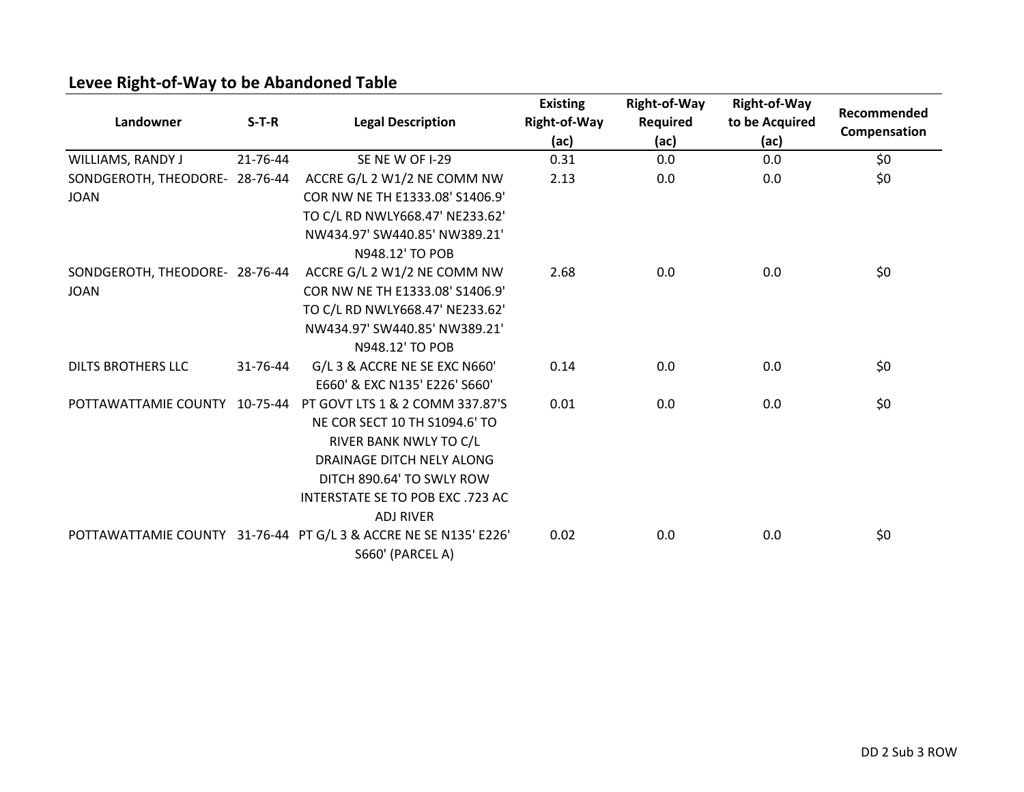| Landowner                      | $S-T-R$  | <b>Legal Description</b>                                                             | <b>Existing</b><br><b>Right-of-Way</b><br>(ac) | Right-of-Way<br><b>Required</b><br>(ac) | <b>Right-of-Way</b><br>to be Acquired<br>(ac) | Recommended<br>Compensation |
|--------------------------------|----------|--------------------------------------------------------------------------------------|------------------------------------------------|-----------------------------------------|-----------------------------------------------|-----------------------------|
| WILLIAMS, RANDY J              | 21-76-44 | SE NEW OF I-29                                                                       | 0.31                                           | 0.0                                     | 0.0                                           | \$0                         |
| SONDGEROTH, THEODORE- 28-76-44 |          | ACCRE G/L 2 W1/2 NE COMM NW                                                          | 2.13                                           | 0.0                                     | 0.0                                           | \$0                         |
| <b>JOAN</b>                    |          | COR NW NE TH E1333.08' S1406.9'                                                      |                                                |                                         |                                               |                             |
|                                |          | TO C/L RD NWLY668.47' NE233.62'                                                      |                                                |                                         |                                               |                             |
|                                |          | NW434.97' SW440.85' NW389.21'                                                        |                                                |                                         |                                               |                             |
|                                |          | N948.12' TO POB                                                                      |                                                |                                         |                                               |                             |
| SONDGEROTH, THEODORE- 28-76-44 |          | ACCRE G/L 2 W1/2 NE COMM NW                                                          | 2.68                                           | 0.0                                     | 0.0                                           | \$0                         |
| <b>JOAN</b>                    |          | COR NW NE TH E1333.08' S1406.9'                                                      |                                                |                                         |                                               |                             |
|                                |          | TO C/L RD NWLY668.47' NE233.62'                                                      |                                                |                                         |                                               |                             |
|                                |          | NW434.97' SW440.85' NW389.21'                                                        |                                                |                                         |                                               |                             |
|                                |          | N948.12' TO POB                                                                      |                                                |                                         |                                               |                             |
| <b>DILTS BROTHERS LLC</b>      | 31-76-44 | G/L 3 & ACCRE NE SE EXC N660'                                                        | 0.14                                           | 0.0                                     | 0.0                                           | \$0                         |
|                                |          | E660' & EXC N135' E226' S660'                                                        |                                                |                                         |                                               |                             |
| POTTAWATTAMIE COUNTY           | 10-75-44 | PT GOVT LTS 1 & 2 COMM 337.87'S                                                      | 0.01                                           | 0.0                                     | 0.0                                           | \$0                         |
|                                |          | NE COR SECT 10 TH S1094.6' TO                                                        |                                                |                                         |                                               |                             |
|                                |          | RIVER BANK NWLY TO C/L                                                               |                                                |                                         |                                               |                             |
|                                |          | DRAINAGE DITCH NELY ALONG                                                            |                                                |                                         |                                               |                             |
|                                |          | DITCH 890.64' TO SWLY ROW                                                            |                                                |                                         |                                               |                             |
|                                |          | INTERSTATE SE TO POB EXC.723 AC                                                      |                                                |                                         |                                               |                             |
|                                |          | <b>ADJ RIVER</b>                                                                     |                                                |                                         |                                               |                             |
|                                |          | POTTAWATTAMIE COUNTY 31-76-44 PT G/L 3 & ACCRE NE SE N135' E226'<br>S660' (PARCEL A) | 0.02                                           | 0.0                                     | 0.0                                           | \$0                         |

# **Levee Right-of-Way to be Abandoned Table**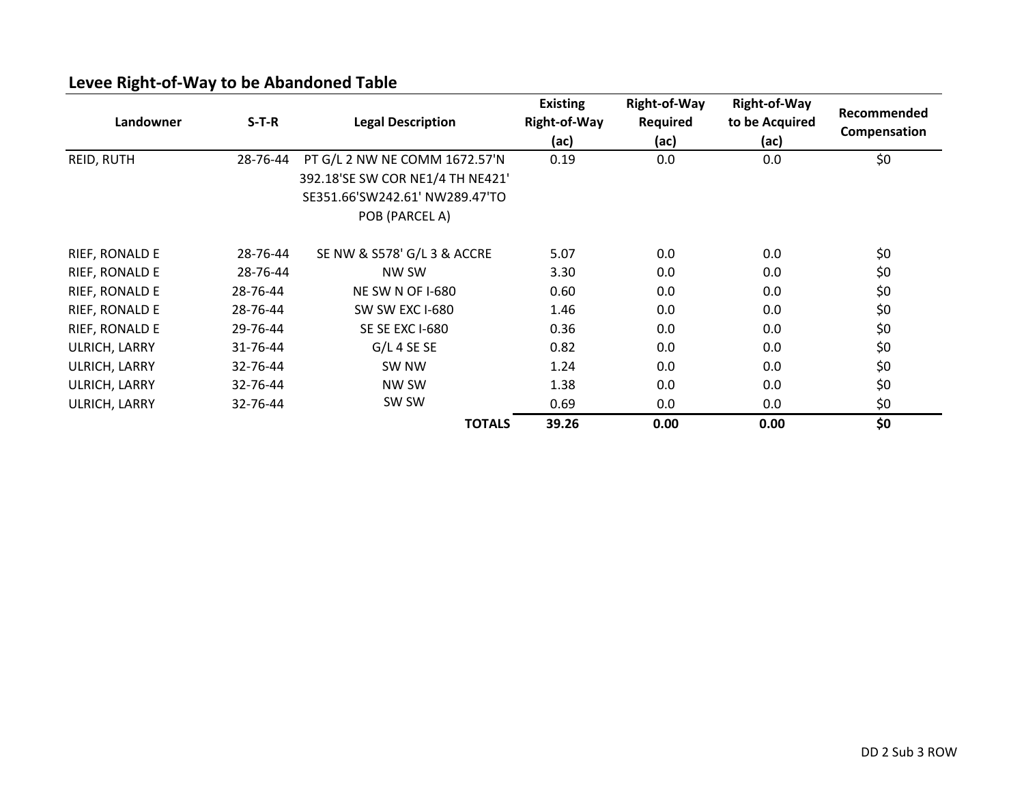| Landowner         | $S-T-R$  | <b>Legal Description</b>                                                                                              | <b>Existing</b><br>Right-of-Way<br>(ac) | <b>Right-of-Way</b><br><b>Required</b><br>(ac) | <b>Right-of-Way</b><br>to be Acquired<br>(ac) | Recommended<br>Compensation |
|-------------------|----------|-----------------------------------------------------------------------------------------------------------------------|-----------------------------------------|------------------------------------------------|-----------------------------------------------|-----------------------------|
| <b>REID, RUTH</b> | 28-76-44 | PT G/L 2 NW NE COMM 1672.57'N<br>392.18'SE SW COR NE1/4 TH NE421'<br>SE351.66'SW242.61' NW289.47'TO<br>POB (PARCEL A) | 0.19                                    | 0.0                                            | 0.0                                           | \$0                         |
| RIEF, RONALD E    | 28-76-44 | SE NW & S578' G/L 3 & ACCRE                                                                                           | 5.07                                    | 0.0                                            | 0.0                                           | \$0                         |
| RIEF, RONALD E    | 28-76-44 | NW SW                                                                                                                 | 3.30                                    | 0.0                                            | 0.0                                           | \$0                         |
| RIEF, RONALD E    | 28-76-44 | <b>NE SW N OF I-680</b>                                                                                               | 0.60                                    | 0.0                                            | 0.0                                           | \$0                         |
| RIEF, RONALD E    | 28-76-44 | SW SW EXC I-680                                                                                                       | 1.46                                    | 0.0                                            | 0.0                                           | \$0                         |
| RIEF, RONALD E    | 29-76-44 | SE SE EXC I-680                                                                                                       | 0.36                                    | 0.0                                            | 0.0                                           | \$0                         |
| ULRICH, LARRY     | 31-76-44 | $G/L$ 4 SE SE                                                                                                         | 0.82                                    | 0.0                                            | 0.0                                           | \$0                         |
| ULRICH, LARRY     | 32-76-44 | SW NW                                                                                                                 | 1.24                                    | 0.0                                            | 0.0                                           | \$0                         |
| ULRICH, LARRY     | 32-76-44 | NW SW                                                                                                                 | 1.38                                    | 0.0                                            | 0.0                                           | \$0                         |
| ULRICH, LARRY     | 32-76-44 | SW SW                                                                                                                 | 0.69                                    | 0.0                                            | 0.0                                           | \$0                         |
|                   |          | <b>TOTALS</b>                                                                                                         | 39.26                                   | 0.00                                           | 0.00                                          | \$0                         |

# **Levee Right-of-Way to be Abandoned Table**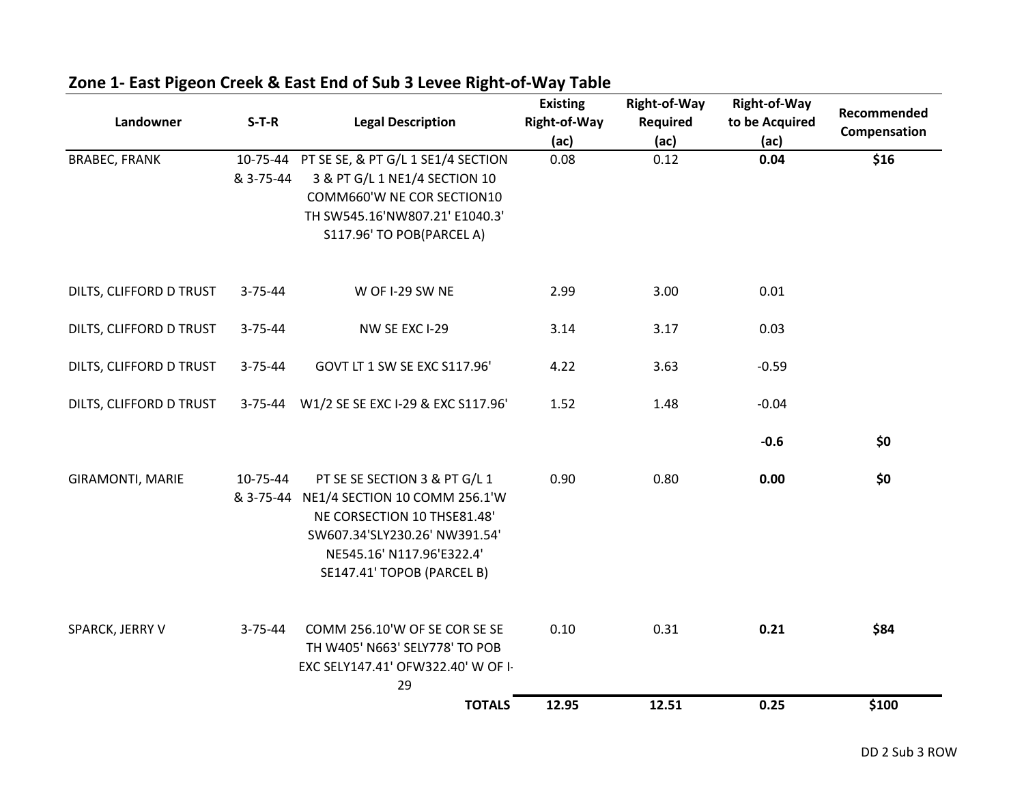| Landowner               | $S-T-R$       | <b>Legal Description</b>                                                                                                                                                                            | <b>Existing</b><br><b>Right-of-Way</b><br>(ac) | Right-of-Way<br><b>Required</b><br>(ac) | <b>Right-of-Way</b><br>to be Acquired<br>(ac) | Recommended<br>Compensation |
|-------------------------|---------------|-----------------------------------------------------------------------------------------------------------------------------------------------------------------------------------------------------|------------------------------------------------|-----------------------------------------|-----------------------------------------------|-----------------------------|
| <b>BRABEC, FRANK</b>    | & 3-75-44     | 10-75-44 PT SE SE, & PT G/L 1 SE1/4 SECTION<br>3 & PT G/L 1 NE1/4 SECTION 10<br>COMM660'W NE COR SECTION10<br>TH SW545.16'NW807.21' E1040.3'<br>S117.96' TO POB(PARCEL A)                           | 0.08                                           | 0.12                                    | 0.04                                          | \$16                        |
| DILTS, CLIFFORD D TRUST | $3 - 75 - 44$ | W OF I-29 SW NE                                                                                                                                                                                     | 2.99                                           | 3.00                                    | 0.01                                          |                             |
| DILTS, CLIFFORD D TRUST | $3 - 75 - 44$ | NW SE EXC I-29                                                                                                                                                                                      | 3.14                                           | 3.17                                    | 0.03                                          |                             |
| DILTS, CLIFFORD D TRUST | $3 - 75 - 44$ | GOVT LT 1 SW SE EXC S117.96'                                                                                                                                                                        | 4.22                                           | 3.63                                    | $-0.59$                                       |                             |
| DILTS, CLIFFORD D TRUST |               | 3-75-44 W1/2 SE SE EXC I-29 & EXC S117.96'                                                                                                                                                          | 1.52                                           | 1.48                                    | $-0.04$                                       |                             |
|                         |               |                                                                                                                                                                                                     |                                                |                                         | $-0.6$                                        | \$0                         |
| <b>GIRAMONTI, MARIE</b> | 10-75-44      | PT SE SE SECTION 3 & PT G/L 1<br>& 3-75-44 NE1/4 SECTION 10 COMM 256.1'W<br>NE CORSECTION 10 THSE81.48'<br>SW607.34'SLY230.26' NW391.54'<br>NE545.16' N117.96'E322.4'<br>SE147.41' TOPOB (PARCEL B) | 0.90                                           | 0.80                                    | 0.00                                          | \$0                         |
| SPARCK, JERRY V         | $3 - 75 - 44$ | COMM 256.10'W OF SE COR SE SE<br>TH W405' N663' SELY778' TO POB<br>EXC SELY147.41' OFW322.40' W OF I-<br>29                                                                                         | 0.10                                           | 0.31                                    | 0.21                                          | \$84                        |
|                         |               | <b>TOTALS</b>                                                                                                                                                                                       | 12.95                                          | 12.51                                   | 0.25                                          | \$100                       |

# **Zone 1- East Pigeon Creek & East End of Sub 3 Levee Right-of-Way Table**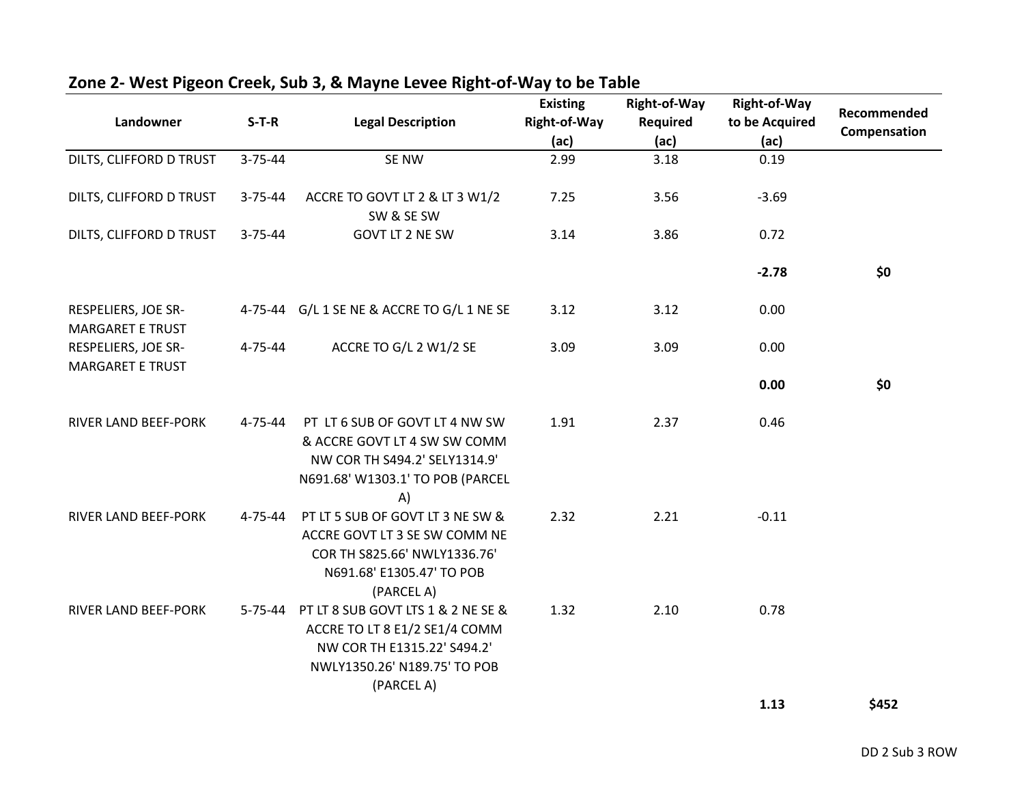| Landowner                                      | $S-T-R$       | <b>Legal Description</b>                                                                                                                         | <b>Existing</b><br>Right-of-Way<br>(ac) | Right-of-Way<br>Required<br>(ac) | <b>Right-of-Way</b><br>to be Acquired<br>(ac) | Recommended<br>Compensation |
|------------------------------------------------|---------------|--------------------------------------------------------------------------------------------------------------------------------------------------|-----------------------------------------|----------------------------------|-----------------------------------------------|-----------------------------|
| DILTS, CLIFFORD D TRUST                        | $3 - 75 - 44$ | SE NW                                                                                                                                            | 2.99                                    | 3.18                             | 0.19                                          |                             |
| DILTS, CLIFFORD D TRUST                        | $3 - 75 - 44$ | ACCRE TO GOVT LT 2 & LT 3 W1/2<br>SW & SE SW                                                                                                     | 7.25                                    | 3.56                             | $-3.69$                                       |                             |
| DILTS, CLIFFORD D TRUST                        | $3 - 75 - 44$ | GOVT LT 2 NE SW                                                                                                                                  | 3.14                                    | 3.86                             | 0.72                                          |                             |
|                                                |               |                                                                                                                                                  |                                         |                                  | $-2.78$                                       | \$0                         |
| RESPELIERS, JOE SR-<br><b>MARGARET E TRUST</b> |               | 4-75-44 G/L 1 SE NE & ACCRE TO G/L 1 NE SE                                                                                                       | 3.12                                    | 3.12                             | 0.00                                          |                             |
| RESPELIERS, JOE SR-<br><b>MARGARET E TRUST</b> | 4-75-44       | ACCRE TO G/L 2 W1/2 SE                                                                                                                           | 3.09                                    | 3.09                             | 0.00                                          |                             |
|                                                |               |                                                                                                                                                  |                                         |                                  | 0.00                                          | \$0                         |
| <b>RIVER LAND BEEF-PORK</b>                    | 4-75-44       | PT LT 6 SUB OF GOVT LT 4 NW SW<br>& ACCRE GOVT LT 4 SW SW COMM<br>NW COR TH S494.2' SELY1314.9'<br>N691.68' W1303.1' TO POB (PARCEL<br>A)        | 1.91                                    | 2.37                             | 0.46                                          |                             |
| RIVER LAND BEEF-PORK                           | 4-75-44       | PT LT 5 SUB OF GOVT LT 3 NE SW &<br>ACCRE GOVT LT 3 SE SW COMM NE<br>COR TH S825.66' NWLY1336.76'<br>N691.68' E1305.47' TO POB<br>(PARCEL A)     | 2.32                                    | 2.21                             | $-0.11$                                       |                             |
| <b>RIVER LAND BEEF-PORK</b>                    | 5-75-44       | PT LT 8 SUB GOVT LTS 1 & 2 NE SE &<br>ACCRE TO LT 8 E1/2 SE1/4 COMM<br>NW COR TH E1315.22' S494.2'<br>NWLY1350.26' N189.75' TO POB<br>(PARCEL A) | 1.32                                    | 2.10                             | 0.78                                          |                             |
|                                                |               |                                                                                                                                                  |                                         |                                  | 1.13                                          | \$452                       |

# **Zone 2- West Pigeon Creek, Sub 3, & Mayne Levee Right-of-Way to be Table**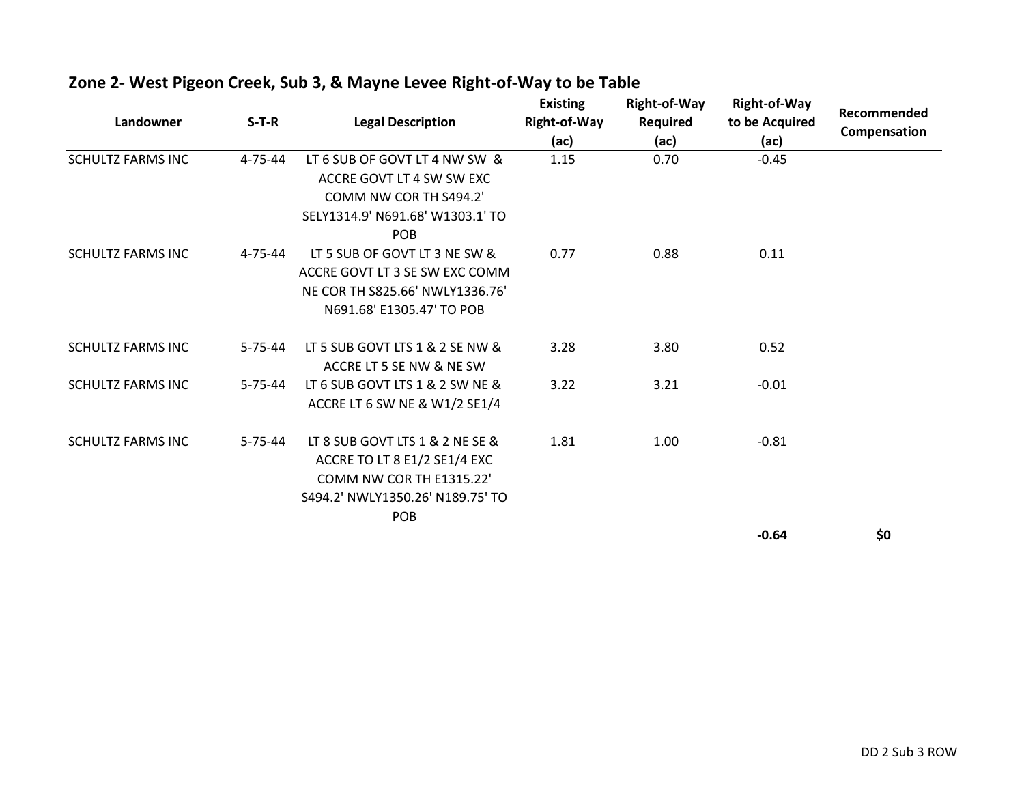| Landowner                | $S-T-R$       | <b>Legal Description</b>                                                                                                               | <b>Existing</b><br><b>Right-of-Way</b><br>(ac) | <b>Right-of-Way</b><br><b>Required</b><br>(ac) | <b>Right-of-Way</b><br>to be Acquired<br>(ac) | Recommended<br>Compensation |
|--------------------------|---------------|----------------------------------------------------------------------------------------------------------------------------------------|------------------------------------------------|------------------------------------------------|-----------------------------------------------|-----------------------------|
| <b>SCHULTZ FARMS INC</b> | $4 - 75 - 44$ | LT 6 SUB OF GOVT LT 4 NW SW &<br>ACCRE GOVT LT 4 SW SW EXC<br>COMM NW COR TH S494.2'<br>SELY1314.9' N691.68' W1303.1' TO<br><b>POB</b> | 1.15                                           | 0.70                                           | $-0.45$                                       |                             |
| <b>SCHULTZ FARMS INC</b> | $4 - 75 - 44$ | LT 5 SUB OF GOVT LT 3 NE SW &<br>ACCRE GOVT LT 3 SE SW EXC COMM<br>NE COR TH S825.66' NWLY1336.76'<br>N691.68' E1305.47' TO POB        | 0.77                                           | 0.88                                           | 0.11                                          |                             |
| <b>SCHULTZ FARMS INC</b> | $5 - 75 - 44$ | LT 5 SUB GOVT LTS 1 & 2 SE NW &<br>ACCRE LT 5 SE NW & NE SW                                                                            | 3.28                                           | 3.80                                           | 0.52                                          |                             |
| <b>SCHULTZ FARMS INC</b> | $5 - 75 - 44$ | LT 6 SUB GOVT LTS 1 & 2 SW NE &<br>ACCRE LT 6 SW NE & W1/2 SE1/4                                                                       | 3.22                                           | 3.21                                           | $-0.01$                                       |                             |
| <b>SCHULTZ FARMS INC</b> | $5 - 75 - 44$ | LT 8 SUB GOVT LTS 1 & 2 NE SE &<br>ACCRE TO LT 8 E1/2 SE1/4 EXC<br>COMM NW COR TH E1315.22'<br>S494.2' NWLY1350.26' N189.75' TO<br>POB | 1.81                                           | 1.00                                           | $-0.81$                                       |                             |
|                          |               |                                                                                                                                        |                                                |                                                | $-0.64$                                       | \$0                         |

#### **Zone 2- West Pigeon Creek, Sub 3, & Mayne Levee Right-of-Way to be Table**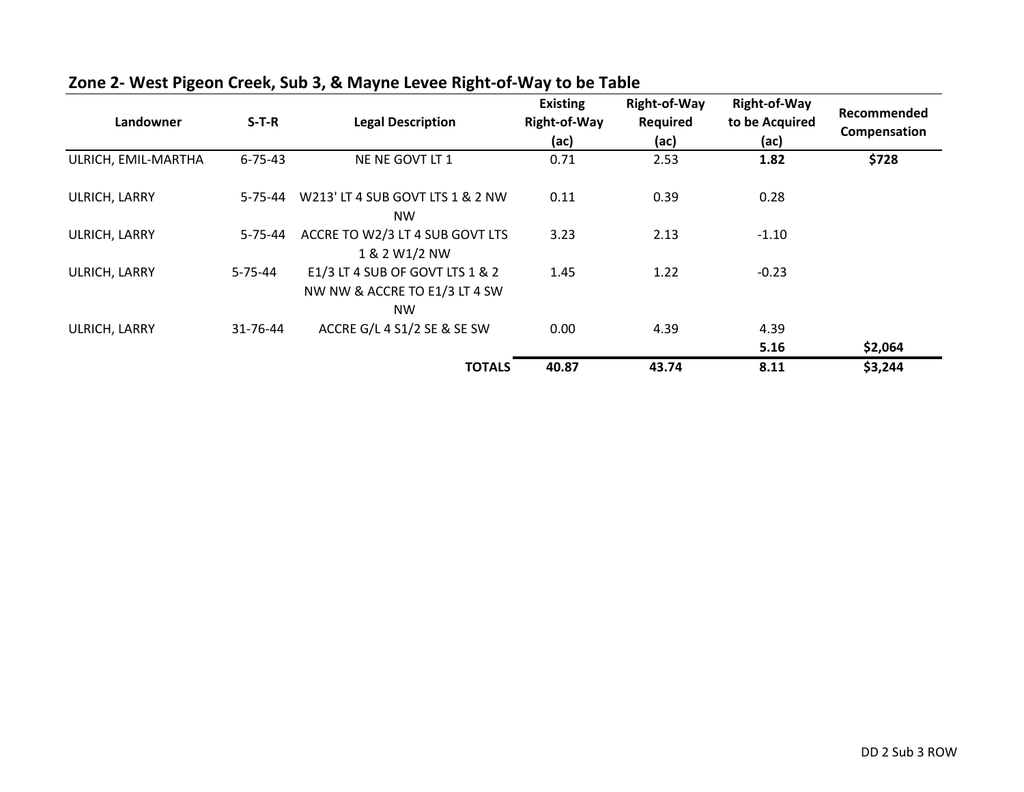| Landowner           | $S-T-R$       | <b>Legal Description</b>                                                      | <b>Existing</b><br><b>Right-of-Way</b><br>(ac) | <b>Right-of-Way</b><br><b>Required</b><br>(ac) | <b>Right-of-Way</b><br>to be Acquired<br>(ac) | Recommended<br>Compensation |
|---------------------|---------------|-------------------------------------------------------------------------------|------------------------------------------------|------------------------------------------------|-----------------------------------------------|-----------------------------|
| ULRICH, EMIL-MARTHA | $6 - 75 - 43$ | NE NE GOVT LT 1                                                               | 0.71                                           | 2.53                                           | 1.82                                          | \$728                       |
| ULRICH, LARRY       | $5 - 75 - 44$ | W213' LT 4 SUB GOVT LTS 1 & 2 NW<br><b>NW</b>                                 | 0.11                                           | 0.39                                           | 0.28                                          |                             |
| ULRICH, LARRY       | $5 - 75 - 44$ | ACCRE TO W2/3 LT 4 SUB GOVT LTS<br>1 & 2 W1/2 NW                              | 3.23                                           | 2.13                                           | $-1.10$                                       |                             |
| ULRICH, LARRY       | $5 - 75 - 44$ | E1/3 LT 4 SUB OF GOVT LTS 1 & 2<br>NW NW & ACCRE TO E1/3 LT 4 SW<br><b>NW</b> | 1.45                                           | 1.22                                           | $-0.23$                                       |                             |
| ULRICH, LARRY       | 31-76-44      | ACCRE G/L 4 S1/2 SE & SE SW                                                   | 0.00                                           | 4.39                                           | 4.39<br>5.16                                  | \$2,064                     |
|                     |               | <b>TOTALS</b>                                                                 | 40.87                                          | 43.74                                          | 8.11                                          | \$3,244                     |

#### **Zone 2- West Pigeon Creek, Sub 3, & Mayne Levee Right-of-Way to be Table**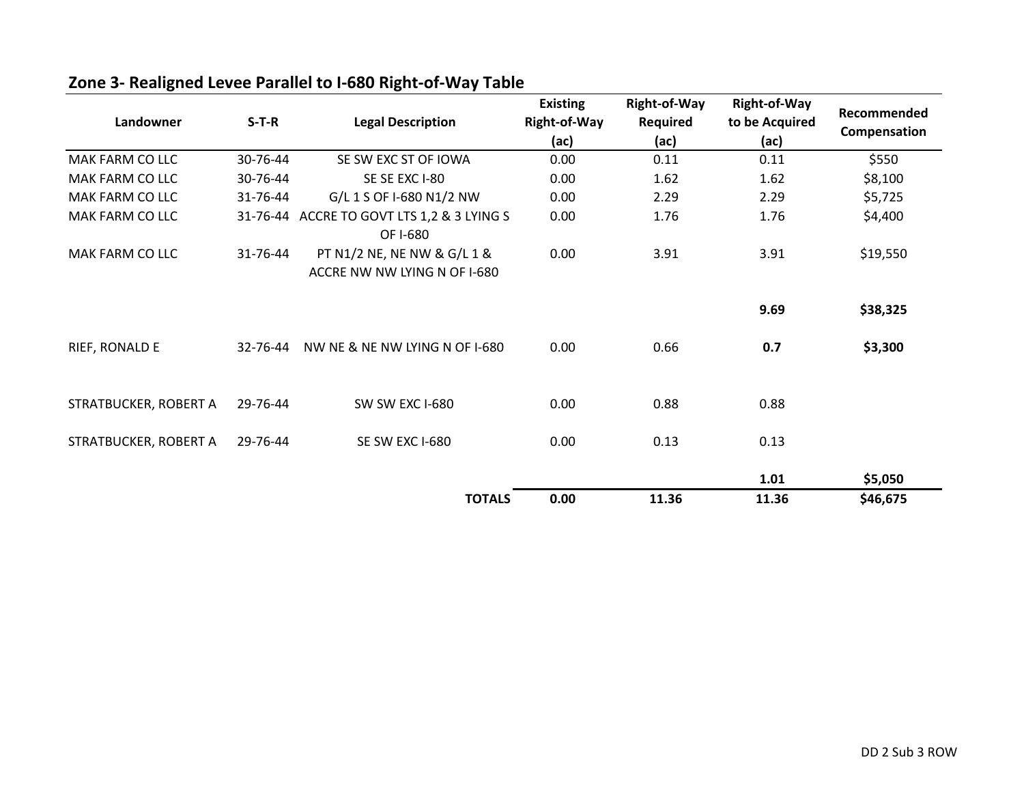| Landowner              | $S-T-R$  | <b>Legal Description</b>                                    | <b>Existing</b><br>Right-of-Way<br>(ac) | <b>Right-of-Way</b><br><b>Required</b><br>(ac) | <b>Right-of-Way</b><br>to be Acquired<br>(ac) | Recommended<br>Compensation |
|------------------------|----------|-------------------------------------------------------------|-----------------------------------------|------------------------------------------------|-----------------------------------------------|-----------------------------|
| <b>MAK FARM CO LLC</b> | 30-76-44 | SE SW EXC ST OF IOWA                                        | 0.00                                    | 0.11                                           | 0.11                                          | \$550                       |
| <b>MAK FARM CO LLC</b> | 30-76-44 | SE SE EXC I-80                                              | 0.00                                    | 1.62                                           | 1.62                                          | \$8,100                     |
| <b>MAK FARM CO LLC</b> | 31-76-44 | G/L 1 S OF I-680 N1/2 NW                                    | 0.00                                    | 2.29                                           | 2.29                                          | \$5,725                     |
| MAK FARM CO LLC        |          | 31-76-44 ACCRE TO GOVT LTS 1,2 & 3 LYING S<br>OF I-680      | 0.00                                    | 1.76                                           | 1.76                                          | \$4,400                     |
| MAK FARM CO LLC        | 31-76-44 | PT N1/2 NE, NE NW & G/L 1 &<br>ACCRE NW NW LYING N OF I-680 | 0.00                                    | 3.91                                           | 3.91                                          | \$19,550                    |
|                        |          |                                                             |                                         |                                                | 9.69                                          | \$38,325                    |
| RIEF, RONALD E         | 32-76-44 | NW NE & NE NW LYING N OF I-680                              | 0.00                                    | 0.66                                           | 0.7                                           | \$3,300                     |
| STRATBUCKER, ROBERT A  | 29-76-44 | SW SW EXC I-680                                             | 0.00                                    | 0.88                                           | 0.88                                          |                             |
| STRATBUCKER, ROBERT A  | 29-76-44 | SE SW EXC I-680                                             | 0.00                                    | 0.13                                           | 0.13                                          |                             |
|                        |          |                                                             |                                         |                                                | 1.01                                          | \$5,050                     |
|                        |          | <b>TOTALS</b>                                               | 0.00                                    | 11.36                                          | 11.36                                         | \$46,675                    |

# **Zone 3- Realigned Levee Parallel to I-680 Right-of-Way Table**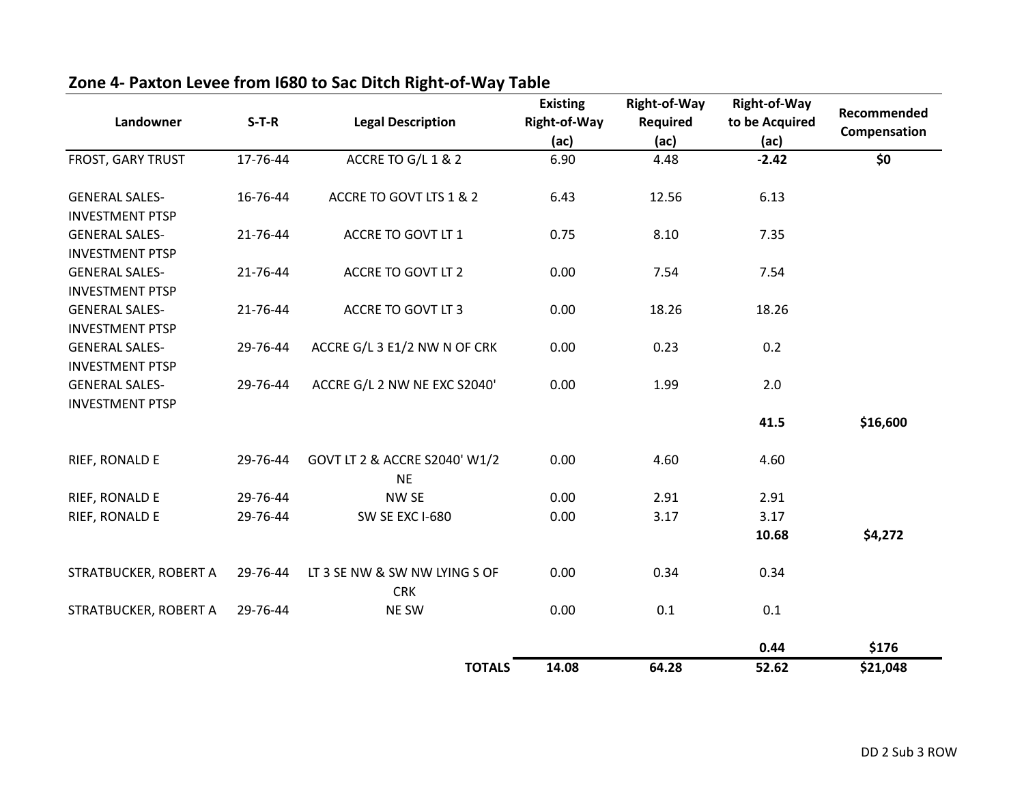| Landowner                                       | $S-T-R$  | <b>Legal Description</b>                    | <b>Existing</b><br><b>Right-of-Way</b><br>(ac) | Right-of-Way<br>Required<br>(ac) | <b>Right-of-Way</b><br>to be Acquired<br>(ac) | Recommended<br>Compensation |
|-------------------------------------------------|----------|---------------------------------------------|------------------------------------------------|----------------------------------|-----------------------------------------------|-----------------------------|
| FROST, GARY TRUST                               | 17-76-44 | ACCRE TO G/L 1 & 2                          | 6.90                                           | 4.48                             | $-2.42$                                       | \$0                         |
| <b>GENERAL SALES-</b><br><b>INVESTMENT PTSP</b> | 16-76-44 | ACCRE TO GOVT LTS 1 & 2                     | 6.43                                           | 12.56                            | 6.13                                          |                             |
| <b>GENERAL SALES-</b><br><b>INVESTMENT PTSP</b> | 21-76-44 | ACCRE TO GOVT LT 1                          | 0.75                                           | 8.10                             | 7.35                                          |                             |
| <b>GENERAL SALES-</b><br><b>INVESTMENT PTSP</b> | 21-76-44 | ACCRE TO GOVT LT 2                          | 0.00                                           | 7.54                             | 7.54                                          |                             |
| <b>GENERAL SALES-</b><br><b>INVESTMENT PTSP</b> | 21-76-44 | ACCRE TO GOVT LT 3                          | 0.00                                           | 18.26                            | 18.26                                         |                             |
| <b>GENERAL SALES-</b><br><b>INVESTMENT PTSP</b> | 29-76-44 | ACCRE G/L 3 E1/2 NW N OF CRK                | 0.00                                           | 0.23                             | 0.2                                           |                             |
| <b>GENERAL SALES-</b><br><b>INVESTMENT PTSP</b> | 29-76-44 | ACCRE G/L 2 NW NE EXC S2040'                | 0.00                                           | 1.99                             | 2.0                                           |                             |
|                                                 |          |                                             |                                                |                                  | 41.5                                          | \$16,600                    |
| RIEF, RONALD E                                  | 29-76-44 | GOVT LT 2 & ACCRE S2040' W1/2<br><b>NE</b>  | 0.00                                           | 4.60                             | 4.60                                          |                             |
| RIEF, RONALD E                                  | 29-76-44 | <b>NW SE</b>                                | 0.00                                           | 2.91                             | 2.91                                          |                             |
| RIEF, RONALD E                                  | 29-76-44 | <b>SW SE EXC I-680</b>                      | 0.00                                           | 3.17                             | 3.17                                          |                             |
|                                                 |          |                                             |                                                |                                  | 10.68                                         | \$4,272                     |
| STRATBUCKER, ROBERT A                           | 29-76-44 | LT 3 SE NW & SW NW LYING S OF<br><b>CRK</b> | 0.00                                           | 0.34                             | 0.34                                          |                             |
| STRATBUCKER, ROBERT A                           | 29-76-44 | NE SW                                       | 0.00                                           | 0.1                              | 0.1                                           |                             |
|                                                 |          |                                             |                                                |                                  | 0.44                                          | \$176                       |
|                                                 |          | <b>TOTALS</b>                               | 14.08                                          | 64.28                            | 52.62                                         | \$21,048                    |

# **Zone 4- Paxton Levee from I680 to Sac Ditch Right-of-Way Table**